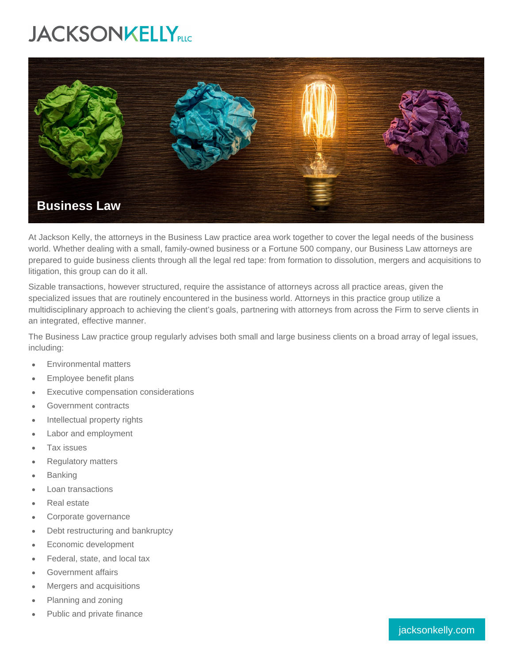## **JACKSONKELLY**PLC



At Jackson Kelly, the attorneys in the Business Law practice area work together to cover the legal needs of the business world. Whether dealing with a small, family-owned business or a Fortune 500 company, our Business Law attorneys are prepared to guide business clients through all the legal red tape: from formation to dissolution, mergers and acquisitions to litigation, this group can do it all.

Sizable transactions, however structured, require the assistance of attorneys across all practice areas, given the specialized issues that are routinely encountered in the business world. Attorneys in this practice group utilize a multidisciplinary approach to achieving the client's goals, partnering with attorneys from across the Firm to serve clients in an integrated, effective manner.

The Business Law practice group regularly advises both small and large business clients on a broad array of legal issues, including:

- Environmental matters
- Employee benefit plans
- Executive compensation considerations
- Government contracts
- Intellectual property rights
- Labor and employment
- Tax issues
- Regulatory matters
- Banking
- Loan transactions
- Real estate
- Corporate governance
- Debt restructuring and bankruptcy
- Economic development
- Federal, state, and local tax
- Government affairs
- Mergers and acquisitions
- Planning and zoning
- Public and private finance